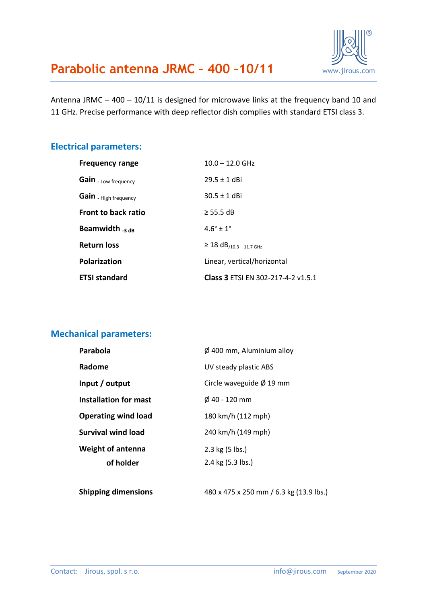Antenna JRMC – 400 – 10/11 is designed for microwave links at the frequency band 10 and 11 GHz. Precise performance with deep reflector dish complies with standard ETSI class 3.

#### **Electrical parameters:**

| <b>Frequency range</b>     | $10.0 - 12.0$ GHz                         |  |
|----------------------------|-------------------------------------------|--|
| Gain - Low frequency       | $29.5 \pm 1$ dBi                          |  |
| Gain - High frequency      | $30.5 \pm 1$ dBi                          |  |
| <b>Front to back ratio</b> | $\geq$ 55.5 dB                            |  |
| Beamwidth $_{3\text{ dB}}$ | $4.6^{\circ} + 1^{\circ}$                 |  |
| <b>Return loss</b>         | $≥ 18 dB/10.3 - 11.7 GHz$                 |  |
| <b>Polarization</b>        | Linear, vertical/horizontal               |  |
| <b>ETSI standard</b>       | <b>Class 3 ETSI EN 302-217-4-2 v1.5.1</b> |  |

#### **Mechanical parameters:**

| Parabola                   | $\varnothing$ 400 mm, Aluminium alloy |  |
|----------------------------|---------------------------------------|--|
| Radome                     | UV steady plastic ABS                 |  |
| Input / output             | Circle waveguide $\varnothing$ 19 mm  |  |
| Installation for mast      | $\emptyset$ 40 - 120 mm               |  |
| <b>Operating wind load</b> | 180 km/h (112 mph)                    |  |
| <b>Survival wind load</b>  | 240 km/h (149 mph)                    |  |
| <b>Weight of antenna</b>   | 2.3 kg (5 lbs.)                       |  |
| of holder                  | 2.4 kg (5.3 lbs.)                     |  |
|                            |                                       |  |

**Shipping dimensions** 480 x 475 x 250 mm / 6.3 kg (13.9 lbs.)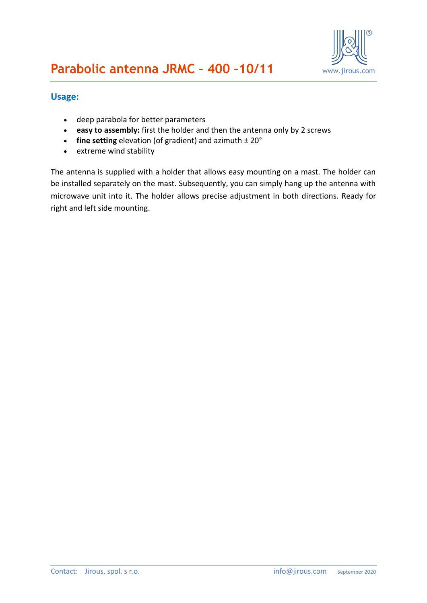

#### **Usage:**

- deep parabola for better parameters
- **easy to assembly:** first the holder and then the antenna only by 2 screws
- **fine setting** elevation (of gradient) and azimuth ± 20°
- extreme wind stability

The antenna is supplied with a holder that allows easy mounting on a mast. The holder can be installed separately on the mast. Subsequently, you can simply hang up the antenna with microwave unit into it. The holder allows precise adjustment in both directions. Ready for right and left side mounting.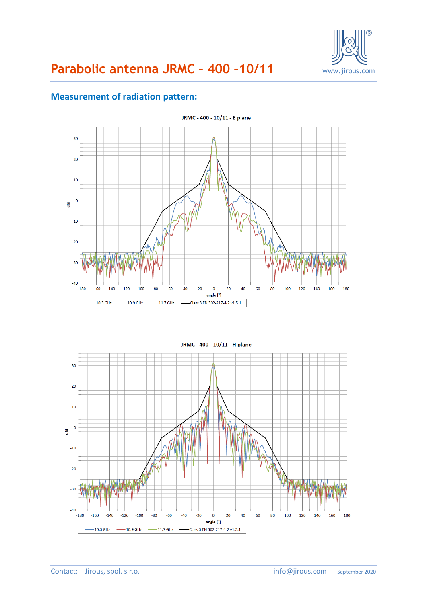

# **Parabolic antenna JRMC – 400 –10/11** www.jirous.com

#### **Measurement of radiation pattern:**



JRMC - 400 - 10/11 - H plane  $\overline{30}$  $\overline{20}$  $10$  $\epsilon$ ë  $-10$  $-20$  $-30$  $-40$  $-180$  $-160$ 80 100 120 140 160 180  $-140$  $-120$  $-100$  $-60$  $-20$  $20$ 60  $-80$  $-40$  $\mathbf 0$ 40 angle [°]  $-10.3$  GHz  $-10.9$  GHz  $-11.7$  GHz - Class 3 EN 302-217-4-2 v1.5.1  $\ddot{\phantom{a}}$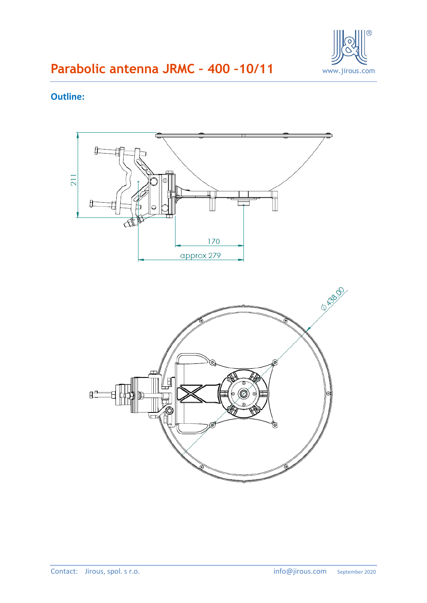

### **Outline:**